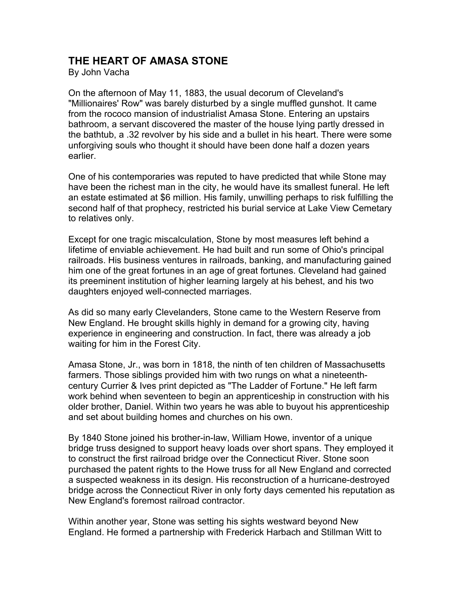## **THE HEART OF AMASA STONE**

By John Vacha

On the afternoon of May 11, 1883, the usual decorum of Cleveland's "Millionaires' Row" was barely disturbed by a single muffled gunshot. It came from the rococo mansion of industrialist Amasa Stone. Entering an upstairs bathroom, a servant discovered the master of the house lying partly dressed in the bathtub, a .32 revolver by his side and a bullet in his heart. There were some unforgiving souls who thought it should have been done half a dozen years earlier.

One of his contemporaries was reputed to have predicted that while Stone may have been the richest man in the city, he would have its smallest funeral. He left an estate estimated at \$6 million. His family, unwilling perhaps to risk fulfilling the second half of that prophecy, restricted his burial service at Lake View Cemetary to relatives only.

Except for one tragic miscalculation, Stone by most measures left behind a lifetime of enviable achievement. He had built and run some of Ohio's principal railroads. His business ventures in railroads, banking, and manufacturing gained him one of the great fortunes in an age of great fortunes. Cleveland had gained its preeminent institution of higher learning largely at his behest, and his two daughters enjoyed well-connected marriages.

As did so many early Clevelanders, Stone came to the Western Reserve from New England. He brought skills highly in demand for a growing city, having experience in engineering and construction. In fact, there was already a job waiting for him in the Forest City.

Amasa Stone, Jr., was born in 1818, the ninth of ten children of Massachusetts farmers. Those siblings provided him with two rungs on what a nineteenthcentury Currier & Ives print depicted as "The Ladder of Fortune." He left farm work behind when seventeen to begin an apprenticeship in construction with his older brother, Daniel. Within two years he was able to buyout his apprenticeship and set about building homes and churches on his own.

By 1840 Stone joined his brother-in-law, William Howe, inventor of a unique bridge truss designed to support heavy loads over short spans. They employed it to construct the first railroad bridge over the Connecticut River. Stone soon purchased the patent rights to the Howe truss for all New England and corrected a suspected weakness in its design. His reconstruction of a hurricane-destroyed bridge across the Connecticut River in only forty days cemented his reputation as New England's foremost railroad contractor.

Within another year, Stone was setting his sights westward beyond New England. He formed a partnership with Frederick Harbach and Stillman Witt to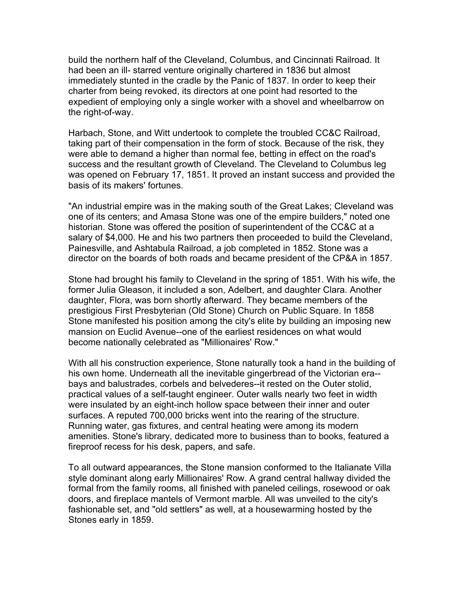build the northern half of the Cleveland, Columbus, and Cincinnati Railroad. It had been an ill- starred venture originally chartered in 1836 but almost immediately stunted in the cradle by the Panic of 1837. In order to keep their charter from being revoked, its directors at one point had resorted to the expedient of employing only a single worker with a shovel and wheelbarrow on the right-of-way.

Harbach, Stone, and Witt undertook to complete the troubled CC&C Railroad, taking part of their compensation in the form of stock. Because of the risk, they were able to demand a higher than normal fee, betting in effect on the road's success and the resultant growth of Cleveland. The Cleveland to Columbus leg was opened on February 17, 1851. It proved an instant success and provided the basis of its makers' fortunes.

"An industrial empire was in the making south of the Great Lakes; Cleveland was one of its centers; and Amasa Stone was one of the empire builders," noted one historian. Stone was offered the position of superintendent of the CC&C at a salary of \$4,000. He and his two partners then proceeded to build the Cleveland, Painesville, and Ashtabula Railroad, a job completed in 1852. Stone was a director on the boards of both roads and became president of the CP&A in 1857.

Stone had brought his family to Cleveland in the spring of 1851. With his wife, the former Julia Gleason, it included a son, Adelbert, and daughter Clara. Another daughter, Flora, was born shortly afterward. They became members of the prestigious First Presbyterian (Old Stone) Church on Public Square. In 1858 Stone manifested his position among the city's elite by building an imposing new mansion on Euclid Avenue--one of the earliest residences on what would become nationally celebrated as "Millionaires' Row."

With all his construction experience, Stone naturally took a hand in the building of his own home. Underneath all the inevitable gingerbread of the Victorian era- bays and balustrades, corbels and belvederes--it rested on the Outer stolid, practical values of a self-taught engineer. Outer walls nearly two feet in width were insulated by an eight-inch hollow space between their inner and outer surfaces. A reputed 700,000 bricks went into the rearing of the structure. Running water, gas fixtures, and central heating were among its modern amenities. Stone's library, dedicated more to business than to books, featured a fireproof recess for his desk, papers, and safe.

To all outward appearances, the Stone mansion conformed to the Italianate Villa style dominant along early Millionaires' Row. A grand central hallway divided the formal from the family rooms, all finished with paneled ceilings, rosewood or oak doors, and fireplace mantels of Vermont marble. All was unveiled to the city's fashionable set, and "old settlers" as well, at a housewarming hosted by the Stones early in 1859.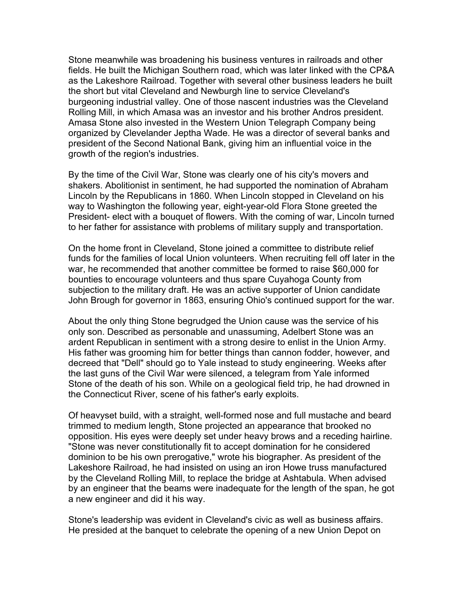Stone meanwhile was broadening his business ventures in railroads and other fields. He built the Michigan Southern road, which was later linked with the CP&A as the Lakeshore Railroad. Together with several other business leaders he built the short but vital Cleveland and Newburgh line to service Cleveland's burgeoning industrial valley. One of those nascent industries was the Cleveland Rolling Mill, in which Amasa was an investor and his brother Andros president. Amasa Stone also invested in the Western Union Telegraph Company being organized by Clevelander Jeptha Wade. He was a director of several banks and president of the Second National Bank, giving him an influential voice in the growth of the region's industries.

By the time of the Civil War, Stone was clearly one of his city's movers and shakers. Abolitionist in sentiment, he had supported the nomination of Abraham Lincoln by the Republicans in 1860. When Lincoln stopped in Cleveland on his way to Washington the following year, eight-year-old Flora Stone greeted the President- elect with a bouquet of flowers. With the coming of war, Lincoln turned to her father for assistance with problems of military supply and transportation.

On the home front in Cleveland, Stone joined a committee to distribute relief funds for the families of local Union volunteers. When recruiting fell off later in the war, he recommended that another committee be formed to raise \$60,000 for bounties to encourage volunteers and thus spare Cuyahoga County from subjection to the military draft. He was an active supporter of Union candidate John Brough for governor in 1863, ensuring Ohio's continued support for the war.

About the only thing Stone begrudged the Union cause was the service of his only son. Described as personable and unassuming, Adelbert Stone was an ardent Republican in sentiment with a strong desire to enlist in the Union Army. His father was grooming him for better things than cannon fodder, however, and decreed that "Dell" should go to Yale instead to study engineering. Weeks after the last guns of the Civil War were silenced, a telegram from Yale informed Stone of the death of his son. While on a geological field trip, he had drowned in the Connecticut River, scene of his father's early exploits.

Of heavyset build, with a straight, well-formed nose and full mustache and beard trimmed to medium length, Stone projected an appearance that brooked no opposition. His eyes were deeply set under heavy brows and a receding hairline. "Stone was never constitutionally fit to accept domination for he considered dominion to be his own prerogative," wrote his biographer. As president of the Lakeshore Railroad, he had insisted on using an iron Howe truss manufactured by the Cleveland Rolling Mill, to replace the bridge at Ashtabula. When advised by an engineer that the beams were inadequate for the length of the span, he got a new engineer and did it his way.

Stone's leadership was evident in Cleveland's civic as well as business affairs. He presided at the banquet to celebrate the opening of a new Union Depot on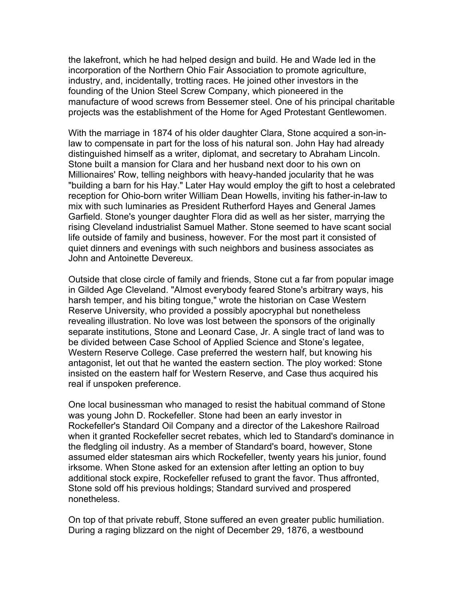the lakefront, which he had helped design and build. He and Wade led in the incorporation of the Northern Ohio Fair Association to promote agriculture, industry, and, incidentally, trotting races. He joined other investors in the founding of the Union Steel Screw Company, which pioneered in the manufacture of wood screws from Bessemer steel. One of his principal charitable projects was the establishment of the Home for Aged Protestant Gentlewomen.

With the marriage in 1874 of his older daughter Clara, Stone acquired a son-inlaw to compensate in part for the loss of his natural son. John Hay had already distinguished himself as a writer, diplomat, and secretary to Abraham Lincoln. Stone built a mansion for Clara and her husband next door to his own on Millionaires' Row, telling neighbors with heavy-handed jocularity that he was "building a barn for his Hay." Later Hay would employ the gift to host a celebrated reception for Ohio-born writer William Dean Howells, inviting his father-in-law to mix with such luminaries as President Rutherford Hayes and General James Garfield. Stone's younger daughter Flora did as well as her sister, marrying the rising Cleveland industrialist Samuel Mather. Stone seemed to have scant social life outside of family and business, however. For the most part it consisted of quiet dinners and evenings with such neighbors and business associates as John and Antoinette Devereux.

Outside that close circle of family and friends, Stone cut a far from popular image in Gilded Age Cleveland. "Almost everybody feared Stone's arbitrary ways, his harsh temper, and his biting tongue," wrote the historian on Case Western Reserve University, who provided a possibly apocryphal but nonetheless revealing illustration. No love was lost between the sponsors of the originally separate institutions, Stone and Leonard Case, Jr. A single tract of land was to be divided between Case School of Applied Science and Stone's legatee, Western Reserve College. Case preferred the western half, but knowing his antagonist, let out that he wanted the eastern section. The ploy worked: Stone insisted on the eastern half for Western Reserve, and Case thus acquired his real if unspoken preference.

One local businessman who managed to resist the habitual command of Stone was young John D. Rockefeller. Stone had been an early investor in Rockefeller's Standard Oil Company and a director of the Lakeshore Railroad when it granted Rockefeller secret rebates, which led to Standard's dominance in the fledgling oil industry. As a member of Standard's board, however, Stone assumed elder statesman airs which Rockefeller, twenty years his junior, found irksome. When Stone asked for an extension after letting an option to buy additional stock expire, Rockefeller refused to grant the favor. Thus affronted, Stone sold off his previous holdings; Standard survived and prospered nonetheless.

On top of that private rebuff, Stone suffered an even greater public humiliation. During a raging blizzard on the night of December 29, 1876, a westbound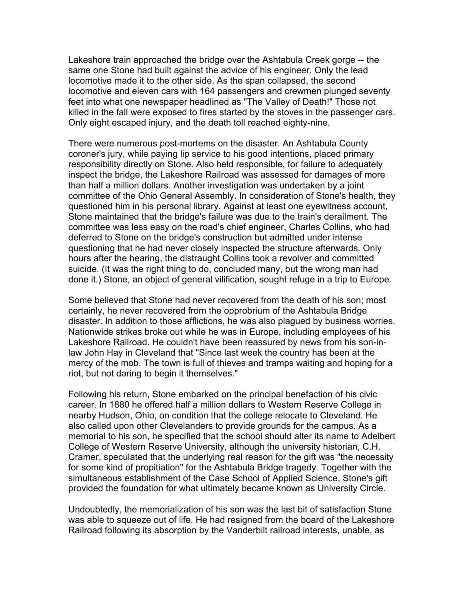Lakeshore train approached the bridge over the Ashtabula Creek gorge -- the same one Stone had built against the advice of his engineer. Only the lead locomotive made it to the other side. As the span collapsed, the second locomotive and eleven cars with 164 passengers and crewmen plunged seventy feet into what one newspaper headlined as "The Valley of Death!" Those not killed in the fall were exposed to fires started by the stoves in the passenger cars. Only eight escaped injury, and the death toll reached eighty-nine.

There were numerous post-mortems on the disaster. An Ashtabula County coroner's jury, while paying lip service to his good intentions, placed primary responsibility directly on Stone. Also held responsible, for failure to adequately inspect the bridge, the Lakeshore Railroad was assessed for damages of more than half a million dollars. Another investigation was undertaken by a joint committee of the Ohio General Assembly. In consideration of Stone's health, they questioned him in his personal library. Against at least one eyewitness account, Stone maintained that the bridge's failure was due to the train's derailment. The committee was less easy on the road's chief engineer, Charles Collins, who had deferred to Stone on the bridge's construction but admitted under intense questioning that he had never closely inspected the structure afterwards. Only hours after the hearing, the distraught Collins took a revolver and committed suicide. (It was the right thing to do, concluded many, but the wrong man had done it.) Stone, an object of general vilification, sought refuge in a trip to Europe.

Some believed that Stone had never recovered from the death of his son; most certainly, he never recovered from the opprobrium of the Ashtabula Bridge disaster. In addition to those afflictions, he was also plagued by business worries. Nationwide strikes broke out while he was in Europe, including employees of his Lakeshore Railroad. He couldn't have been reassured by news from his son-inlaw John Hay in Cleveland that "Since last week the country has been at the mercy of the mob. The town is full of thieves and tramps waiting and hoping for a riot, but not daring to begin it themselves."

Following his return, Stone embarked on the principal benefaction of his civic career. In 1880 he offered half a million dollars to Western Reserve College in nearby Hudson, Ohio, on condition that the college relocate to Cleveland. He also called upon other Clevelanders to provide grounds for the campus. As a memorial to his son, he specified that the school should alter its name to Adelbert College of Western Reserve University, although the university historian, C.H. Cramer, speculated that the underlying real reason for the gift was "the necessity for some kind of propitiation" for the Ashtabula Bridge tragedy. Together with the simultaneous establishment of the Case School of Applied Science, Stone's gift provided the foundation for what ultimately became known as University Circle.

Undoubtedly, the memorialization of his son was the last bit of satisfaction Stone was able to squeeze out of life. He had resigned from the board of the Lakeshore Railroad following its absorption by the Vanderbilt railroad interests, unable, as